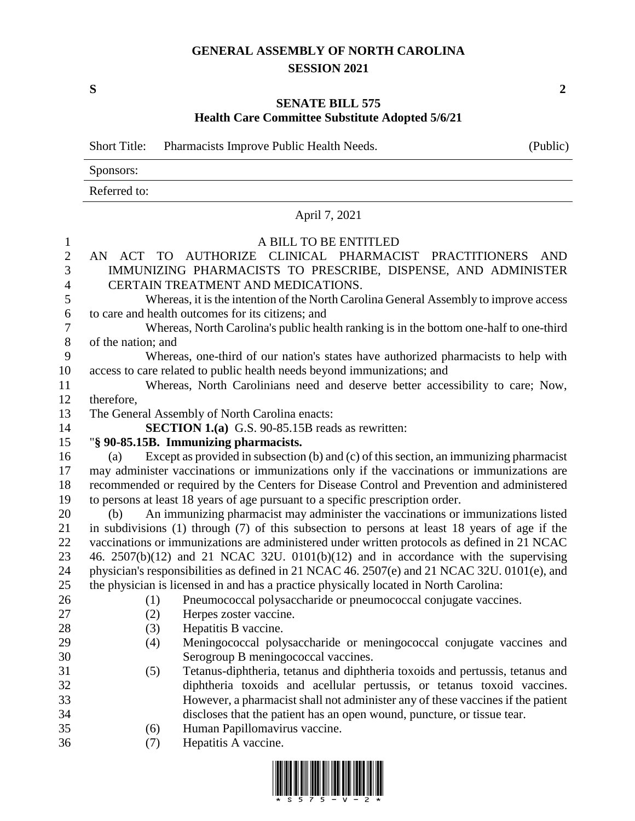## **GENERAL ASSEMBLY OF NORTH CAROLINA SESSION 2021**

**S 2**

## **SENATE BILL 575 Health Care Committee Substitute Adopted 5/6/21**

|                  | <b>Short Title:</b>                                                                           | Pharmacists Improve Public Health Needs.                                                     | (Public)   |  |  |  |
|------------------|-----------------------------------------------------------------------------------------------|----------------------------------------------------------------------------------------------|------------|--|--|--|
|                  | Sponsors:                                                                                     |                                                                                              |            |  |  |  |
|                  | Referred to:                                                                                  |                                                                                              |            |  |  |  |
|                  |                                                                                               | April 7, 2021                                                                                |            |  |  |  |
| $\mathbf{1}$     |                                                                                               | A BILL TO BE ENTITLED                                                                        |            |  |  |  |
| $\mathbf{2}$     | AN                                                                                            | ACT TO AUTHORIZE<br>CLINICAL PHARMACIST PRACTITIONERS                                        | <b>AND</b> |  |  |  |
| 3                | IMMUNIZING PHARMACISTS TO PRESCRIBE, DISPENSE, AND ADMINISTER                                 |                                                                                              |            |  |  |  |
| $\overline{4}$   | CERTAIN TREATMENT AND MEDICATIONS.                                                            |                                                                                              |            |  |  |  |
| 5                | Whereas, it is the intention of the North Carolina General Assembly to improve access         |                                                                                              |            |  |  |  |
| 6                | to care and health outcomes for its citizens; and                                             |                                                                                              |            |  |  |  |
| $\boldsymbol{7}$ | Whereas, North Carolina's public health ranking is in the bottom one-half to one-third        |                                                                                              |            |  |  |  |
| $8\,$            | of the nation; and                                                                            |                                                                                              |            |  |  |  |
| 9                | Whereas, one-third of our nation's states have authorized pharmacists to help with            |                                                                                              |            |  |  |  |
| 10               | access to care related to public health needs beyond immunizations; and                       |                                                                                              |            |  |  |  |
| 11               | Whereas, North Carolinians need and deserve better accessibility to care; Now,                |                                                                                              |            |  |  |  |
| 12               | therefore,                                                                                    |                                                                                              |            |  |  |  |
| 13               |                                                                                               | The General Assembly of North Carolina enacts:                                               |            |  |  |  |
| 14               |                                                                                               | <b>SECTION 1.(a)</b> G.S. 90-85.15B reads as rewritten:                                      |            |  |  |  |
| 15               |                                                                                               | "§ 90-85.15B. Immunizing pharmacists.                                                        |            |  |  |  |
| 16               | (a)                                                                                           | Except as provided in subsection (b) and (c) of this section, an immunizing pharmacist       |            |  |  |  |
| 17               | may administer vaccinations or immunizations only if the vaccinations or immunizations are    |                                                                                              |            |  |  |  |
| 18               | recommended or required by the Centers for Disease Control and Prevention and administered    |                                                                                              |            |  |  |  |
| 19               |                                                                                               | to persons at least 18 years of age pursuant to a specific prescription order.               |            |  |  |  |
| 20               | (b)                                                                                           | An immunizing pharmacist may administer the vaccinations or immunizations listed             |            |  |  |  |
| 21               | in subdivisions (1) through (7) of this subsection to persons at least 18 years of age if the |                                                                                              |            |  |  |  |
| 22               |                                                                                               | vaccinations or immunizations are administered under written protocols as defined in 21 NCAC |            |  |  |  |
| 23               | 46. $2507(b)(12)$ and 21 NCAC 32U. $0101(b)(12)$ and in accordance with the supervising       |                                                                                              |            |  |  |  |
| 24               | physician's responsibilities as defined in 21 NCAC 46. 2507(e) and 21 NCAC 32U. 0101(e), and  |                                                                                              |            |  |  |  |
| 25               |                                                                                               | the physician is licensed in and has a practice physically located in North Carolina:        |            |  |  |  |
| 26               |                                                                                               | (1) Pneumococcal polysaccharide or pneumococcal conjugate vaccines.                          |            |  |  |  |
| 27<br>28         | (2)<br>(3)                                                                                    | Herpes zoster vaccine.<br>Hepatitis B vaccine.                                               |            |  |  |  |
| 29               | (4)                                                                                           | Meningococcal polysaccharide or meningococcal conjugate vaccines and                         |            |  |  |  |
| 30               |                                                                                               | Serogroup B meningococcal vaccines.                                                          |            |  |  |  |
| 31               | (5)                                                                                           | Tetanus-diphtheria, tetanus and diphtheria toxoids and pertussis, tetanus and                |            |  |  |  |
| 32               |                                                                                               | diphtheria toxoids and acellular pertussis, or tetanus toxoid vaccines.                      |            |  |  |  |
| 33               |                                                                                               | However, a pharmacist shall not administer any of these vaccines if the patient              |            |  |  |  |
| 34               |                                                                                               | discloses that the patient has an open wound, puncture, or tissue tear.                      |            |  |  |  |
| 35               | (6)                                                                                           | Human Papillomavirus vaccine.                                                                |            |  |  |  |
| 36               | (7)                                                                                           | Hepatitis A vaccine.                                                                         |            |  |  |  |

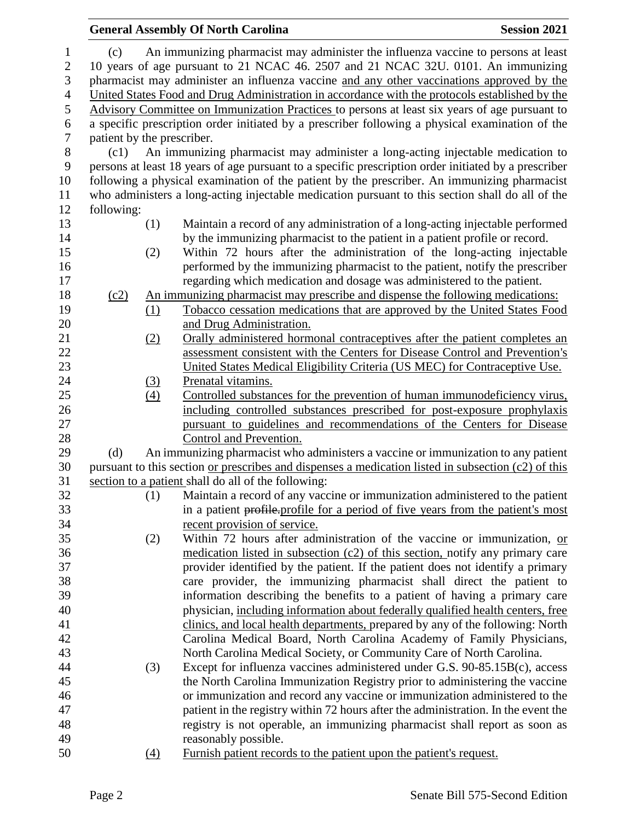|                |                                                                                   |                  | <b>General Assembly Of North Carolina</b>                                                                                                                   | <b>Session 2021</b> |  |  |
|----------------|-----------------------------------------------------------------------------------|------------------|-------------------------------------------------------------------------------------------------------------------------------------------------------------|---------------------|--|--|
| $\mathbf{1}$   | (c)                                                                               |                  | An immunizing pharmacist may administer the influenza vaccine to persons at least                                                                           |                     |  |  |
| $\mathbf{2}$   | 10 years of age pursuant to 21 NCAC 46. 2507 and 21 NCAC 32U. 0101. An immunizing |                  |                                                                                                                                                             |                     |  |  |
| $\mathfrak{Z}$ |                                                                                   |                  | pharmacist may administer an influenza vaccine and any other vaccinations approved by the                                                                   |                     |  |  |
| $\overline{4}$ |                                                                                   |                  | United States Food and Drug Administration in accordance with the protocols established by the                                                              |                     |  |  |
| $\mathfrak s$  |                                                                                   |                  | Advisory Committee on Immunization Practices to persons at least six years of age pursuant to                                                               |                     |  |  |
| 6              |                                                                                   |                  | a specific prescription order initiated by a prescriber following a physical examination of the                                                             |                     |  |  |
| $\tau$         | patient by the prescriber.                                                        |                  |                                                                                                                                                             |                     |  |  |
| 8              | (c1)                                                                              |                  | An immunizing pharmacist may administer a long-acting injectable medication to                                                                              |                     |  |  |
| 9              |                                                                                   |                  | persons at least 18 years of age pursuant to a specific prescription order initiated by a prescriber                                                        |                     |  |  |
| 10             |                                                                                   |                  | following a physical examination of the patient by the prescriber. An immunizing pharmacist                                                                 |                     |  |  |
| 11             |                                                                                   |                  | who administers a long-acting injectable medication pursuant to this section shall do all of the                                                            |                     |  |  |
| 12             | following:                                                                        |                  |                                                                                                                                                             |                     |  |  |
| 13             |                                                                                   | (1)              | Maintain a record of any administration of a long-acting injectable performed                                                                               |                     |  |  |
| 14             |                                                                                   |                  | by the immunizing pharmacist to the patient in a patient profile or record.                                                                                 |                     |  |  |
| 15             |                                                                                   | (2)              | Within 72 hours after the administration of the long-acting injectable                                                                                      |                     |  |  |
| 16             |                                                                                   |                  | performed by the immunizing pharmacist to the patient, notify the prescriber                                                                                |                     |  |  |
| 17             |                                                                                   |                  | regarding which medication and dosage was administered to the patient.                                                                                      |                     |  |  |
| 18<br>19       | (c2)                                                                              |                  | An immunizing pharmacist may prescribe and dispense the following medications:<br>Tobacco cessation medications that are approved by the United States Food |                     |  |  |
| 20             |                                                                                   | (1)              | and Drug Administration.                                                                                                                                    |                     |  |  |
| 21             |                                                                                   | (2)              | Orally administered hormonal contraceptives after the patient completes an                                                                                  |                     |  |  |
| 22             |                                                                                   |                  | assessment consistent with the Centers for Disease Control and Prevention's                                                                                 |                     |  |  |
| 23             |                                                                                   |                  | United States Medical Eligibility Criteria (US MEC) for Contraceptive Use.                                                                                  |                     |  |  |
| 24             |                                                                                   | <u>(3)</u>       | Prenatal vitamins.                                                                                                                                          |                     |  |  |
| 25             |                                                                                   | $\left(4\right)$ | Controlled substances for the prevention of human immunodeficiency virus,                                                                                   |                     |  |  |
| 26             |                                                                                   |                  | including controlled substances prescribed for post-exposure prophylaxis                                                                                    |                     |  |  |
| 27             |                                                                                   |                  | pursuant to guidelines and recommendations of the Centers for Disease                                                                                       |                     |  |  |
| 28             |                                                                                   |                  | Control and Prevention.                                                                                                                                     |                     |  |  |
| 29             | (d)                                                                               |                  | An immunizing pharmacist who administers a vaccine or immunization to any patient                                                                           |                     |  |  |
| 30             |                                                                                   |                  | pursuant to this section or prescribes and dispenses a medication listed in subsection (c2) of this                                                         |                     |  |  |
| 31             |                                                                                   |                  | section to a patient shall do all of the following:                                                                                                         |                     |  |  |
| 32             |                                                                                   | (1)              | Maintain a record of any vaccine or immunization administered to the patient                                                                                |                     |  |  |
| 33             |                                                                                   |                  | in a patient profile profile for a period of five years from the patient's most                                                                             |                     |  |  |
| 34             |                                                                                   |                  | recent provision of service.                                                                                                                                |                     |  |  |
| 35             |                                                                                   | (2)              | Within 72 hours after administration of the vaccine or immunization, or                                                                                     |                     |  |  |
| 36             |                                                                                   |                  | medication listed in subsection (c2) of this section, notify any primary care                                                                               |                     |  |  |
| 37<br>38       |                                                                                   |                  | provider identified by the patient. If the patient does not identify a primary                                                                              |                     |  |  |
| 39             |                                                                                   |                  | care provider, the immunizing pharmacist shall direct the patient to<br>information describing the benefits to a patient of having a primary care           |                     |  |  |
| 40             |                                                                                   |                  | physician, including information about federally qualified health centers, free                                                                             |                     |  |  |
| 41             |                                                                                   |                  | clinics, and local health departments, prepared by any of the following: North                                                                              |                     |  |  |
| 42             |                                                                                   |                  | Carolina Medical Board, North Carolina Academy of Family Physicians,                                                                                        |                     |  |  |
| 43             |                                                                                   |                  | North Carolina Medical Society, or Community Care of North Carolina.                                                                                        |                     |  |  |
| 44             |                                                                                   | (3)              | Except for influenza vaccines administered under G.S. 90-85.15B(c), access                                                                                  |                     |  |  |
| 45             |                                                                                   |                  | the North Carolina Immunization Registry prior to administering the vaccine                                                                                 |                     |  |  |
| 46             |                                                                                   |                  | or immunization and record any vaccine or immunization administered to the                                                                                  |                     |  |  |
| 47             |                                                                                   |                  | patient in the registry within 72 hours after the administration. In the event the                                                                          |                     |  |  |
| 48             |                                                                                   |                  | registry is not operable, an immunizing pharmacist shall report as soon as                                                                                  |                     |  |  |
| 49             |                                                                                   |                  | reasonably possible.                                                                                                                                        |                     |  |  |
| 50             |                                                                                   | $\Delta$         | Furnish patient records to the patient upon the patient's request.                                                                                          |                     |  |  |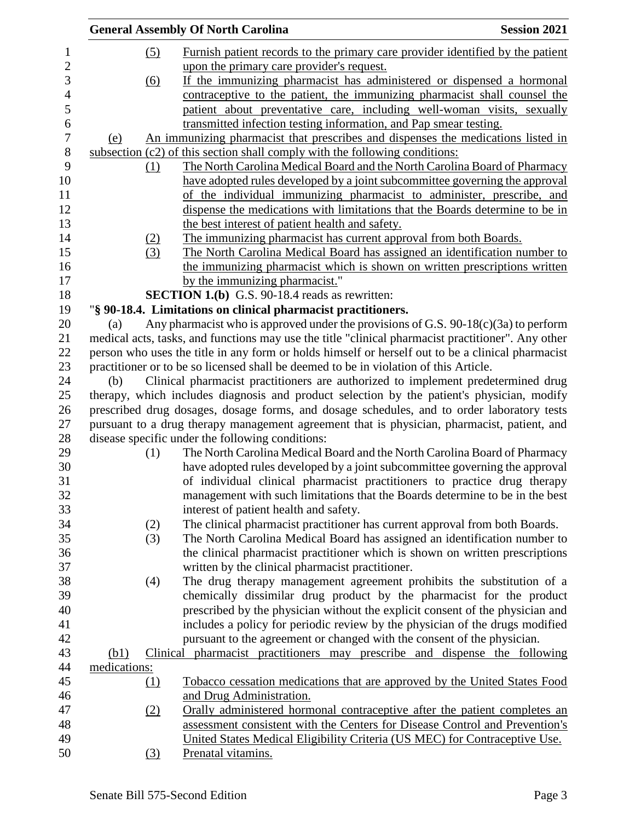|      |              | <b>General Assembly Of North Carolina</b>                                                                                                             | <b>Session 2021</b> |
|------|--------------|-------------------------------------------------------------------------------------------------------------------------------------------------------|---------------------|
|      | (5)          | Furnish patient records to the primary care provider identified by the patient                                                                        |                     |
|      |              | upon the primary care provider's request.                                                                                                             |                     |
|      | (6)          | If the immunizing pharmacist has administered or dispensed a hormonal                                                                                 |                     |
|      |              | contraceptive to the patient, the immunizing pharmacist shall counsel the                                                                             |                     |
|      |              | patient about preventative care, including well-woman visits, sexually                                                                                |                     |
|      |              | transmitted infection testing information, and Pap smear testing.                                                                                     |                     |
| (e)  |              | An immunizing pharmacist that prescribes and dispenses the medications listed in                                                                      |                     |
|      |              | subsection (c2) of this section shall comply with the following conditions:                                                                           |                     |
|      |              | The North Carolina Medical Board and the North Carolina Board of Pharmacy                                                                             |                     |
|      | (1)          |                                                                                                                                                       |                     |
|      |              | have adopted rules developed by a joint subcommittee governing the approval                                                                           |                     |
|      |              | of the individual immunizing pharmacist to administer, prescribe, and<br>dispense the medications with limitations that the Boards determine to be in |                     |
|      |              |                                                                                                                                                       |                     |
|      |              | the best interest of patient health and safety.                                                                                                       |                     |
|      | (2)          | The immunizing pharmacist has current approval from both Boards.                                                                                      |                     |
|      | (3)          | The North Carolina Medical Board has assigned an identification number to                                                                             |                     |
|      |              | the immunizing pharmacist which is shown on written prescriptions written                                                                             |                     |
|      |              | by the immunizing pharmacist."                                                                                                                        |                     |
|      |              | SECTION 1.(b) G.S. 90-18.4 reads as rewritten:                                                                                                        |                     |
|      |              | "§ 90-18.4. Limitations on clinical pharmacist practitioners.                                                                                         |                     |
| (a)  |              | Any pharmacist who is approved under the provisions of G.S. $90-18(c)(3a)$ to perform                                                                 |                     |
|      |              | medical acts, tasks, and functions may use the title "clinical pharmacist practitioner". Any other                                                    |                     |
|      |              | person who uses the title in any form or holds himself or herself out to be a clinical pharmacist                                                     |                     |
|      |              | practitioner or to be so licensed shall be deemed to be in violation of this Article.                                                                 |                     |
| (b)  |              | Clinical pharmacist practitioners are authorized to implement predetermined drug                                                                      |                     |
|      |              | therapy, which includes diagnosis and product selection by the patient's physician, modify                                                            |                     |
|      |              | prescribed drug dosages, dosage forms, and dosage schedules, and to order laboratory tests                                                            |                     |
|      |              | pursuant to a drug therapy management agreement that is physician, pharmacist, patient, and                                                           |                     |
|      |              | disease specific under the following conditions:                                                                                                      |                     |
|      | (1)          | The North Carolina Medical Board and the North Carolina Board of Pharmacy                                                                             |                     |
|      |              | have adopted rules developed by a joint subcommittee governing the approval                                                                           |                     |
|      |              | of individual clinical pharmacist practitioners to practice drug therapy                                                                              |                     |
|      |              | management with such limitations that the Boards determine to be in the best                                                                          |                     |
|      |              | interest of patient health and safety.                                                                                                                |                     |
|      | (2)          | The clinical pharmacist practitioner has current approval from both Boards.                                                                           |                     |
|      | (3)          | The North Carolina Medical Board has assigned an identification number to                                                                             |                     |
|      |              | the clinical pharmacist practitioner which is shown on written prescriptions                                                                          |                     |
|      |              | written by the clinical pharmacist practitioner.                                                                                                      |                     |
|      | (4)          | The drug therapy management agreement prohibits the substitution of a                                                                                 |                     |
|      |              | chemically dissimilar drug product by the pharmacist for the product                                                                                  |                     |
|      |              | prescribed by the physician without the explicit consent of the physician and                                                                         |                     |
|      |              | includes a policy for periodic review by the physician of the drugs modified                                                                          |                     |
|      |              | pursuant to the agreement or changed with the consent of the physician.                                                                               |                     |
| (b1) |              | Clinical pharmacist practitioners may prescribe and dispense the following                                                                            |                     |
|      | medications: |                                                                                                                                                       |                     |
|      | $\Omega$     | Tobacco cessation medications that are approved by the United States Food                                                                             |                     |
|      |              | and Drug Administration.                                                                                                                              |                     |
|      | (2)          | Orally administered hormonal contraceptive after the patient completes an                                                                             |                     |
|      |              | assessment consistent with the Centers for Disease Control and Prevention's                                                                           |                     |
|      |              | United States Medical Eligibility Criteria (US MEC) for Contraceptive Use.                                                                            |                     |
|      | (3)          | Prenatal vitamins.                                                                                                                                    |                     |